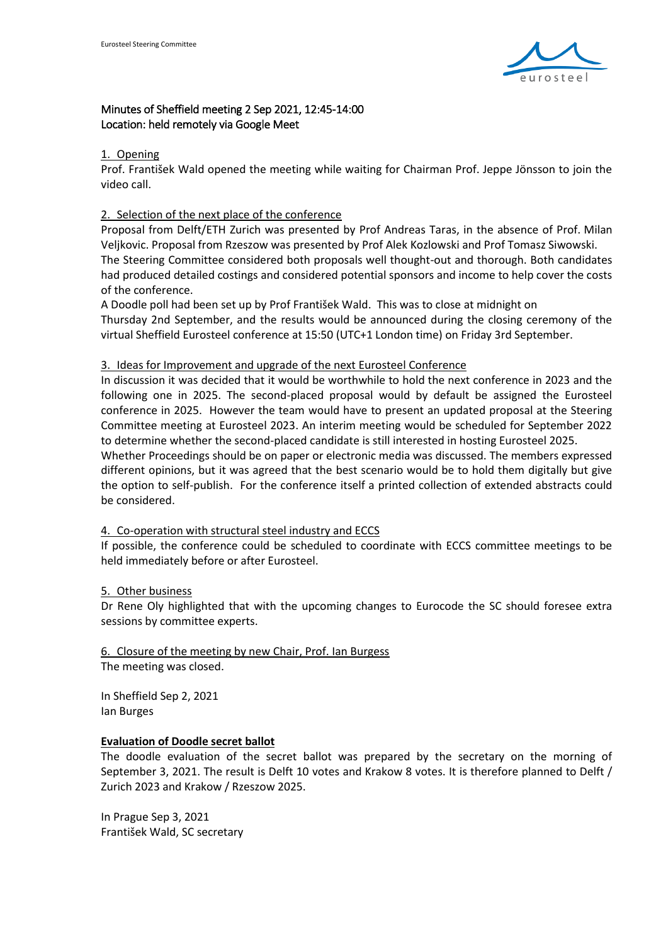

# Minutes of Sheffield meeting 2 Sep 2021, 12:45-14:00 Location: held remotely via Google Meet

#### 1. Opening

Prof. František Wald opened the meeting while waiting for Chairman Prof. Jeppe Jönsson to join the video call.

# 2. Selection of the next place of the conference

Proposal from Delft/ETH Zurich was presented by Prof Andreas Taras, in the absence of Prof. Milan Veljkovic. Proposal from Rzeszow was presented by Prof Alek Kozlowski and Prof Tomasz Siwowski. The Steering Committee considered both proposals well thought-out and thorough. Both candidates had produced detailed costings and considered potential sponsors and income to help cover the costs of the conference.

A Doodle poll had been set up by Prof František Wald. This was to close at midnight on Thursday 2nd September, and the results would be announced during the closing ceremony of the virtual Sheffield Eurosteel conference at 15:50 (UTC+1 London time) on Friday 3rd September.

### 3. Ideas for Improvement and upgrade of the next Eurosteel Conference

In discussion it was decided that it would be worthwhile to hold the next conference in 2023 and the following one in 2025. The second-placed proposal would by default be assigned the Eurosteel conference in 2025. However the team would have to present an updated proposal at the Steering Committee meeting at Eurosteel 2023. An interim meeting would be scheduled for September 2022 to determine whether the second-placed candidate is still interested in hosting Eurosteel 2025.

Whether Proceedings should be on paper or electronic media was discussed. The members expressed different opinions, but it was agreed that the best scenario would be to hold them digitally but give the option to self-publish. For the conference itself a printed collection of extended abstracts could be considered.

# 4. Co-operation with structural steel industry and ECCS

If possible, the conference could be scheduled to coordinate with ECCS committee meetings to be held immediately before or after Eurosteel.

# 5. Other business

Dr Rene Oly highlighted that with the upcoming changes to Eurocode the SC should foresee extra sessions by committee experts.

6. Closure of the meeting by new Chair, Prof. Ian Burgess The meeting was closed.

In Sheffield Sep 2, 2021 Ian Burges

#### **Evaluation of Doodle secret ballot**

The doodle evaluation of the secret ballot was prepared by the secretary on the morning of September 3, 2021. The result is Delft 10 votes and Krakow 8 votes. It is therefore planned to Delft / Zurich 2023 and Krakow / Rzeszow 2025.

In Prague Sep 3, 2021 František Wald, SC secretary